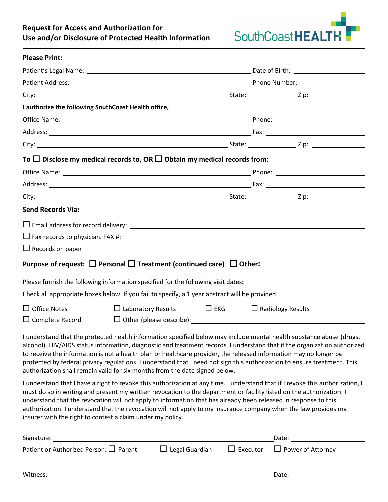## **Request for Access and Authorization for Use and/or Disclosure of Protected Health Information**



| <b>Please Print:</b>                                                                                                                                                                                                                                                                                                                                                                                                                                                                                                                                                              |                                                               |  |  |  |
|-----------------------------------------------------------------------------------------------------------------------------------------------------------------------------------------------------------------------------------------------------------------------------------------------------------------------------------------------------------------------------------------------------------------------------------------------------------------------------------------------------------------------------------------------------------------------------------|---------------------------------------------------------------|--|--|--|
|                                                                                                                                                                                                                                                                                                                                                                                                                                                                                                                                                                                   |                                                               |  |  |  |
| Patient Address: National Address: National Address: National Address: National Address: National Address: National Address: National Address: National Address: National Address: National Address: National Address: Nationa                                                                                                                                                                                                                                                                                                                                                    |                                                               |  |  |  |
|                                                                                                                                                                                                                                                                                                                                                                                                                                                                                                                                                                                   |                                                               |  |  |  |
| I authorize the following SouthCoast Health office,                                                                                                                                                                                                                                                                                                                                                                                                                                                                                                                               |                                                               |  |  |  |
|                                                                                                                                                                                                                                                                                                                                                                                                                                                                                                                                                                                   |                                                               |  |  |  |
|                                                                                                                                                                                                                                                                                                                                                                                                                                                                                                                                                                                   |                                                               |  |  |  |
|                                                                                                                                                                                                                                                                                                                                                                                                                                                                                                                                                                                   |                                                               |  |  |  |
| To $\Box$ Disclose my medical records to, OR $\Box$ Obtain my medical records from:                                                                                                                                                                                                                                                                                                                                                                                                                                                                                               |                                                               |  |  |  |
|                                                                                                                                                                                                                                                                                                                                                                                                                                                                                                                                                                                   |                                                               |  |  |  |
|                                                                                                                                                                                                                                                                                                                                                                                                                                                                                                                                                                                   |                                                               |  |  |  |
|                                                                                                                                                                                                                                                                                                                                                                                                                                                                                                                                                                                   |                                                               |  |  |  |
| <b>Send Records Via:</b>                                                                                                                                                                                                                                                                                                                                                                                                                                                                                                                                                          |                                                               |  |  |  |
|                                                                                                                                                                                                                                                                                                                                                                                                                                                                                                                                                                                   |                                                               |  |  |  |
|                                                                                                                                                                                                                                                                                                                                                                                                                                                                                                                                                                                   |                                                               |  |  |  |
| $\Box$ Records on paper                                                                                                                                                                                                                                                                                                                                                                                                                                                                                                                                                           |                                                               |  |  |  |
| Purpose of request: $\Box$ Personal $\Box$ Treatment (continued care) $\Box$ Other:                                                                                                                                                                                                                                                                                                                                                                                                                                                                                               |                                                               |  |  |  |
|                                                                                                                                                                                                                                                                                                                                                                                                                                                                                                                                                                                   |                                                               |  |  |  |
| Check all appropriate boxes below. If you fail to specify, a 1 year abstract will be provided.                                                                                                                                                                                                                                                                                                                                                                                                                                                                                    |                                                               |  |  |  |
| $\Box$ Office Notes                                                                                                                                                                                                                                                                                                                                                                                                                                                                                                                                                               | $\Box$ Laboratory Results $\Box$ EKG $\Box$ Radiology Results |  |  |  |
| $\Box$ Complete Record                                                                                                                                                                                                                                                                                                                                                                                                                                                                                                                                                            | $\Box$ Other (please describe): $\Box$                        |  |  |  |
| I understand that the protected health information specified below may include mental health substance abuse (drugs,<br>alcohol), HIV/AIDS status information, diagnostic and treatment records. I understand that if the organization authorized<br>to receive the information is not a health plan or healthcare provider, the released information may no longer be<br>protected by federal privacy regulations. I understand that I need not sign this authorization to ensure treatment. This<br>authorization shall remain valid for six months from the date signed below. |                                                               |  |  |  |

I understand that I have a right to revoke this authorization at any time. I understand that if I revoke this authorization, I must do so in writing and present my written revocation to the department or facility listed on the authorization. I understand that the revocation will not apply to information that has already been released in response to this authorization. I understand that the revocation will not apply to my insurance company when the law provides my insurer with the right to contest a claim under my policy.

| Signature:                                  |                       | Date:                                    |
|---------------------------------------------|-----------------------|------------------------------------------|
| Patient or Authorized Person: $\Box$ Parent | $\Box$ Legal Guardian | $\Box$ Executor $\Box$ Power of Attorney |
| Witness:                                    |                       | Date:                                    |